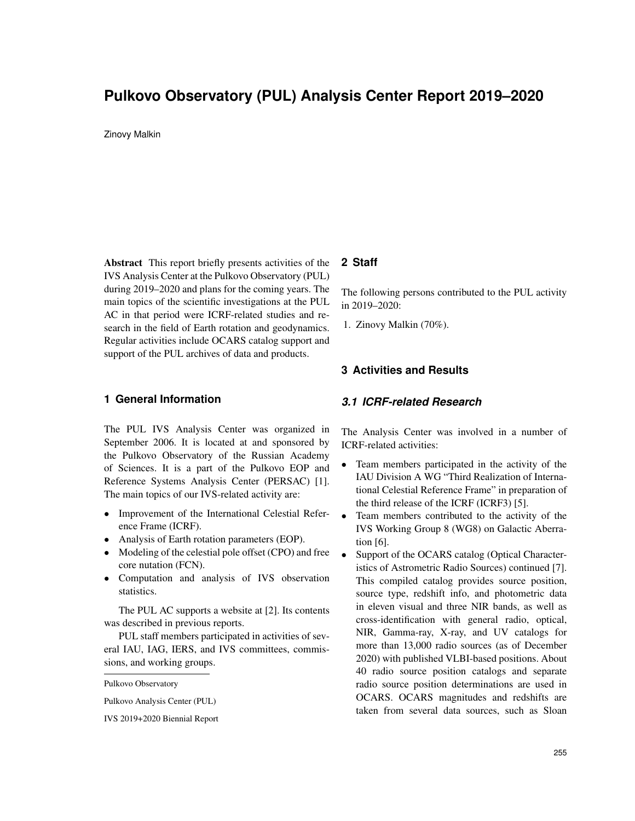# **Pulkovo Observatory (PUL) Analysis Center Report 2019–2020**

Zinovy Malkin

Abstract This report briefly presents activities of the IVS Analysis Center at the Pulkovo Observatory (PUL) during 2019–2020 and plans for the coming years. The main topics of the scientific investigations at the PUL AC in that period were ICRF-related studies and research in the field of Earth rotation and geodynamics. Regular activities include OCARS catalog support and support of the PUL archives of data and products.

### **1 General Information**

The PUL IVS Analysis Center was organized in September 2006. It is located at and sponsored by the Pulkovo Observatory of the Russian Academy of Sciences. It is a part of the Pulkovo EOP and Reference Systems Analysis Center (PERSAC) [1]. The main topics of our IVS-related activity are:

- Improvement of the International Celestial Reference Frame (ICRF).
- Analysis of Earth rotation parameters (EOP).
- Modeling of the celestial pole offset (CPO) and free core nutation (FCN).
- Computation and analysis of IVS observation statistics.

The PUL AC supports a website at [2]. Its contents was described in previous reports.

PUL staff members participated in activities of several IAU, IAG, IERS, and IVS committees, commissions, and working groups.

Pulkovo Analysis Center (PUL)

IVS 2019+2020 Biennial Report

## **2 Staff**

The following persons contributed to the PUL activity in 2019–2020:

1. Zinovy Malkin (70%).

# **3 Activities and Results**

### *3.1 ICRF-related Research*

The Analysis Center was involved in a number of ICRF-related activities:

- Team members participated in the activity of the IAU Division A WG "Third Realization of International Celestial Reference Frame" in preparation of the third release of the ICRF (ICRF3) [5].
- Team members contributed to the activity of the IVS Working Group 8 (WG8) on Galactic Aberration [6].
- Support of the OCARS catalog (Optical Characteristics of Astrometric Radio Sources) continued [7]. This compiled catalog provides source position, source type, redshift info, and photometric data in eleven visual and three NIR bands, as well as cross-identification with general radio, optical, NIR, Gamma-ray, X-ray, and UV catalogs for more than 13,000 radio sources (as of December 2020) with published VLBI-based positions. About 40 radio source position catalogs and separate radio source position determinations are used in OCARS. OCARS magnitudes and redshifts are taken from several data sources, such as Sloan

Pulkovo Observatory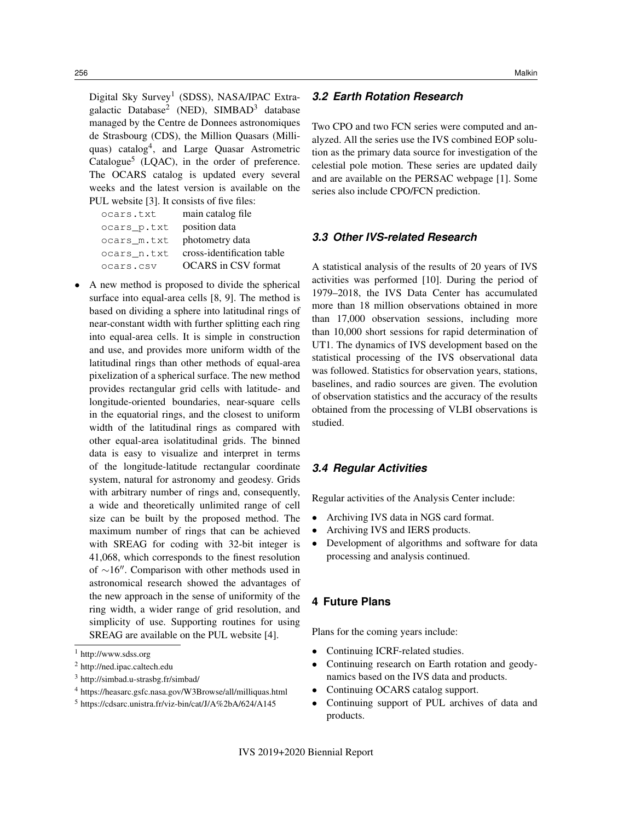Digital Sky Survey<sup>1</sup> (SDSS), NASA/IPAC Extragalactic Database<sup>2</sup> (NED), SIMBAD<sup>3</sup> database managed by the Centre de Donnees astronomiques de Strasbourg (CDS), the Million Quasars (Milliquas) catalog<sup>4</sup>, and Large Quasar Astrometric Catalogue<sup>5</sup> (LQAC), in the order of preference. The OCARS catalog is updated every several weeks and the latest version is available on the PUL website [3]. It consists of five files:

| ocars.txt   | main catalog file          |
|-------------|----------------------------|
| ocars p.txt | position data              |
| ocars m.txt | photometry data            |
| ocars n.txt | cross-identification table |
| ocars.csv   | <b>OCARS</b> in CSV format |

• A new method is proposed to divide the spherical surface into equal-area cells [8, 9]. The method is based on dividing a sphere into latitudinal rings of near-constant width with further splitting each ring into equal-area cells. It is simple in construction and use, and provides more uniform width of the latitudinal rings than other methods of equal-area pixelization of a spherical surface. The new method provides rectangular grid cells with latitude- and longitude-oriented boundaries, near-square cells in the equatorial rings, and the closest to uniform width of the latitudinal rings as compared with other equal-area isolatitudinal grids. The binned data is easy to visualize and interpret in terms of the longitude-latitude rectangular coordinate system, natural for astronomy and geodesy. Grids with arbitrary number of rings and, consequently, a wide and theoretically unlimited range of cell size can be built by the proposed method. The maximum number of rings that can be achieved with SREAG for coding with 32-bit integer is 41,068, which corresponds to the finest resolution of  $\sim$ 16". Comparison with other methods used in astronomical research showed the advantages of the new approach in the sense of uniformity of the ring width, a wider range of grid resolution, and simplicity of use. Supporting routines for using SREAG are available on the PUL website [4].

# *3.2 Earth Rotation Research*

Two CPO and two FCN series were computed and analyzed. All the series use the IVS combined EOP solution as the primary data source for investigation of the celestial pole motion. These series are updated daily and are available on the PERSAC webpage [1]. Some series also include CPO/FCN prediction.

#### *3.3 Other IVS-related Research*

A statistical analysis of the results of 20 years of IVS activities was performed [10]. During the period of 1979–2018, the IVS Data Center has accumulated more than 18 million observations obtained in more than 17,000 observation sessions, including more than 10,000 short sessions for rapid determination of UT1. The dynamics of IVS development based on the statistical processing of the IVS observational data was followed. Statistics for observation years, stations, baselines, and radio sources are given. The evolution of observation statistics and the accuracy of the results obtained from the processing of VLBI observations is studied.

# *3.4 Regular Activities*

Regular activities of the Analysis Center include:

- Archiving IVS data in NGS card format.
- Archiving IVS and IERS products.
- Development of algorithms and software for data processing and analysis continued.

## **4 Future Plans**

Plans for the coming years include:

- Continuing ICRF-related studies.
- Continuing research on Earth rotation and geodynamics based on the IVS data and products.
- Continuing OCARS catalog support.
- Continuing support of PUL archives of data and products.

<sup>1</sup> http://www.sdss.org

<sup>2</sup> http://ned.ipac.caltech.edu

<sup>3</sup> http://simbad.u-strasbg.fr/simbad/

<sup>4</sup> https://heasarc.gsfc.nasa.gov/W3Browse/all/milliquas.html

<sup>5</sup> https://cdsarc.unistra.fr/viz-bin/cat/J/A%2bA/624/A145